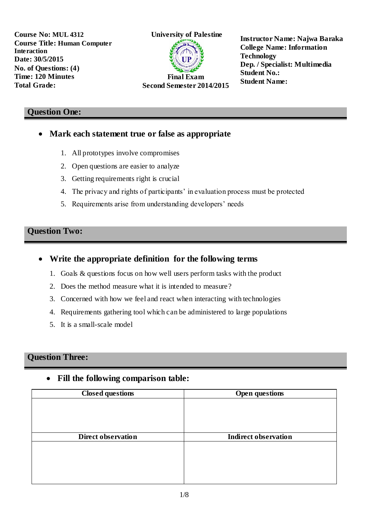

**Instructor Name: Najwa Baraka College Name: Information Technology Dep. / Specialist: Multimedia Student No.: Student Name:** 

#### **Question One:**

- **Mark each statement true or false as appropriate**
	- 1. All prototypes involve compromises
	- 2. Open questions are easier to analyze
	- 3. Getting requirements right is crucial
	- 4. The privacy and rights of participants' in evaluation process must be protected
	- 5. Requirements arise from understanding developers' needs

### **Question Two:**

- **Write the appropriate definition for the following terms**
	- 1. Goals & questions focus on how well users perform tasks with the product
	- 2. Does the method measure what it is intended to measure?
	- 3. Concerned with how we feel and react when interacting with technologies
	- 4. Requirements gathering tool which can be administered to large populations
	- 5. It is a small-scale model

### **Question Three:**

## **Fill the following comparison table:**

| <b>Closed questions</b>   | <b>Open questions</b>       |
|---------------------------|-----------------------------|
|                           |                             |
|                           |                             |
|                           |                             |
|                           |                             |
| <b>Direct observation</b> | <b>Indirect observation</b> |
|                           |                             |
|                           |                             |
|                           |                             |
|                           |                             |
|                           |                             |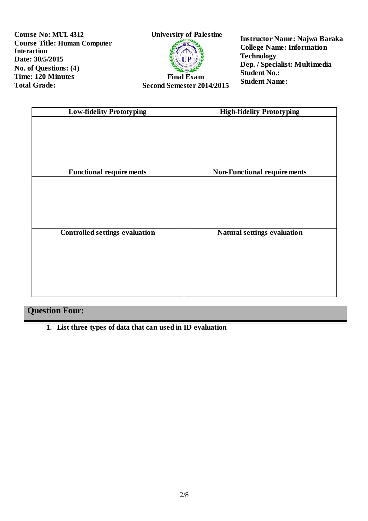

**Second Semester 2014/2015**

**Instructor Name: Najwa Baraka College Name: Information Technology Dep. / Specialist: Multimedia Student No.: Student Name:** 

| <b>Low-fidelity Prototyping</b>       | <b>High-fidelity Prototyping</b>   |
|---------------------------------------|------------------------------------|
|                                       |                                    |
|                                       |                                    |
|                                       |                                    |
|                                       |                                    |
|                                       |                                    |
| <b>Functional requirements</b>        | <b>Non-Functional requirements</b> |
|                                       |                                    |
|                                       |                                    |
|                                       |                                    |
|                                       |                                    |
|                                       |                                    |
| <b>Controlled settings evaluation</b> | Natural settings evaluation        |
|                                       |                                    |
|                                       |                                    |
|                                       |                                    |
|                                       |                                    |
|                                       |                                    |
|                                       |                                    |

# **Question Four:**

**1. List three types of data that can used in ID evaluation**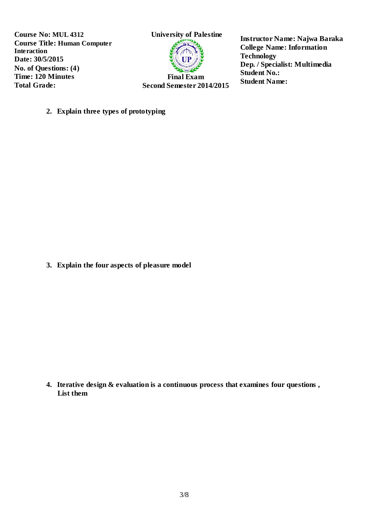

**Second Semester 2014/2015**

**Instructor Name: Najwa Baraka College Name: Information Technology Dep. / Specialist: Multimedia Student No.: Student Name:** 

**2. Explain three types of prototyping** 

**3. Explain the four aspects of pleasure model**

**4. Iterative design & evaluation is a continuous process that examines four questions , List them**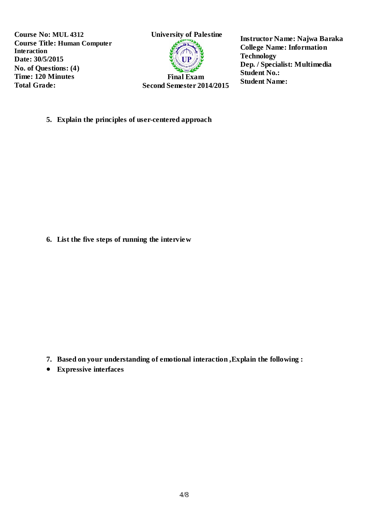

**Instructor Name: Najwa Baraka College Name: Information Technology Dep. / Specialist: Multimedia Student No.: Student Name:** 

**5. Explain the principles of user-centered approach**

**6. List the five steps of running the interview**

- **7. Based on your understanding of emotional interaction ,Explain the following :**
- **Expressive interfaces**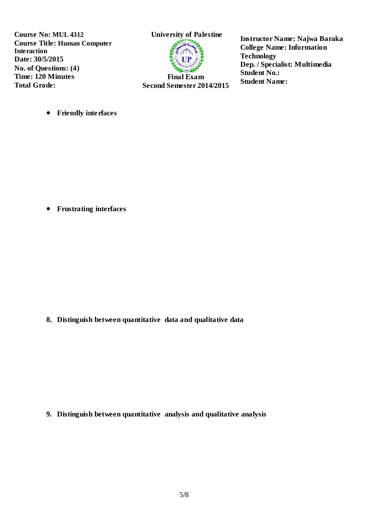

**Second Semester 2014/2015**

**Instructor Name: Najwa Baraka College Name: Information Technology Dep. / Specialist: Multimedia Student No.: Student Name:** 

**•** Friendly interfaces

**Frustrating interfaces**

**8. Distinguish between quantitative data and qualitative data**

**9. Distinguish between quantitative analysis and qualitative analysis**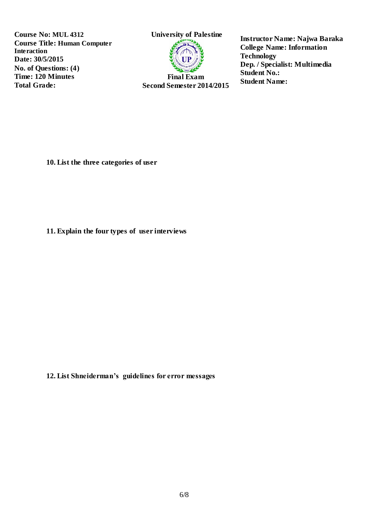

**Second Semester 2014/2015**

**Instructor Name: Najwa Baraka College Name: Information Technology Dep. / Specialist: Multimedia Student No.: Student Name:** 

**10. List the three categories of user**

**11. Explain the four types of user interviews**

**12. List Shneiderman's guidelines for error messages**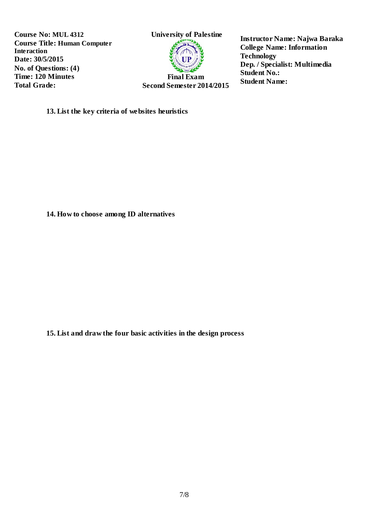

**Instructor Name: Najwa Baraka College Name: Information Technology Dep. / Specialist: Multimedia Student No.: Student Name:** 

**13. List the key criteria of websites heuristics** 

**14. How to choose among ID alternatives**

**15. List and draw the four basic activities in the design process**